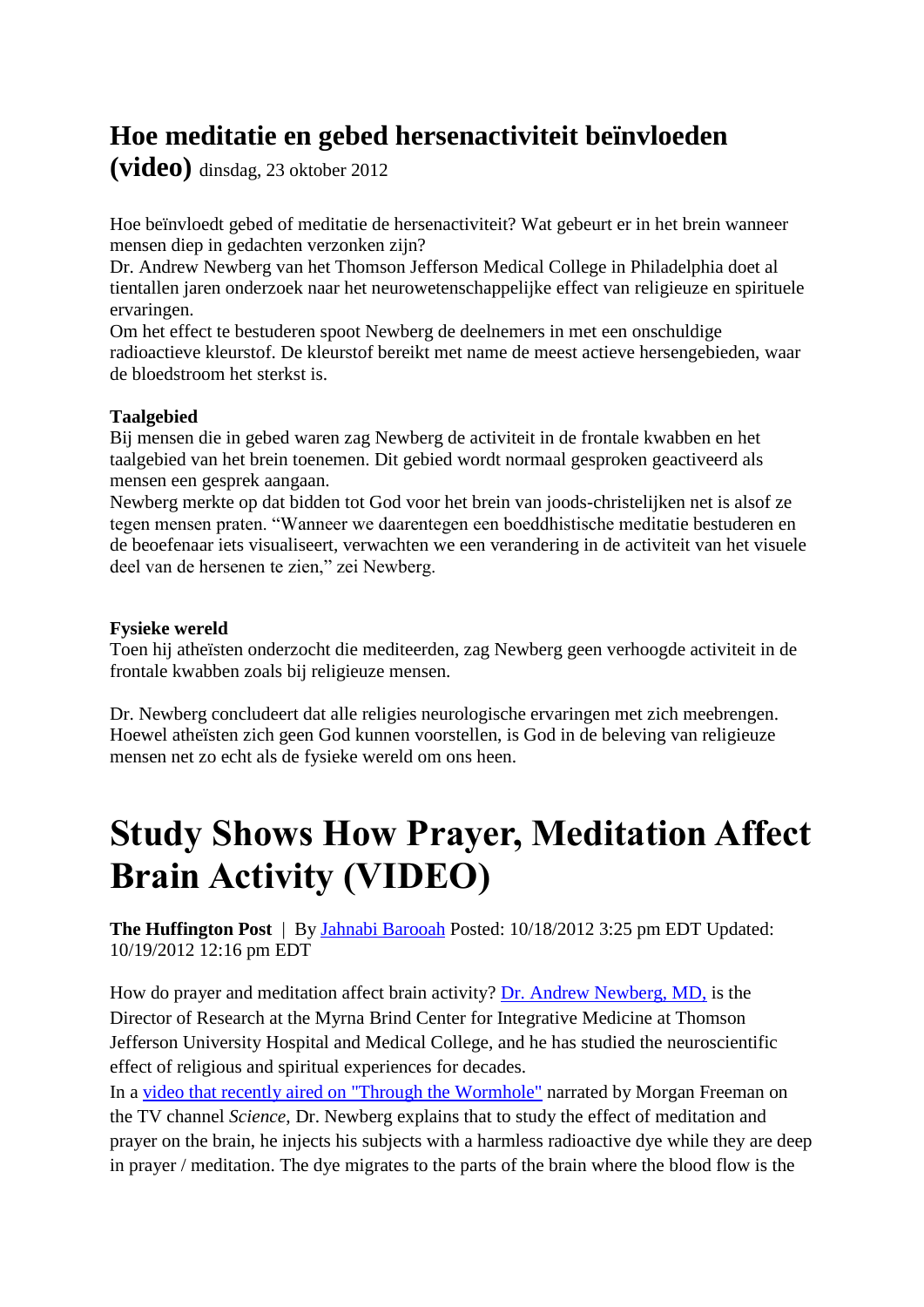## **Hoe meditatie en gebed hersenactiviteit beïnvloeden**

**(video)** dinsdag, 23 oktober 2012

Hoe beïnvloedt gebed of meditatie de hersenactiviteit? Wat gebeurt er in het brein wanneer mensen diep in gedachten verzonken zijn?

Dr. Andrew Newberg van het Thomson Jefferson Medical College in Philadelphia doet al tientallen jaren onderzoek naar het neurowetenschappelijke effect van religieuze en spirituele ervaringen.

Om het effect te bestuderen spoot Newberg de deelnemers in met een onschuldige radioactieve kleurstof. De kleurstof bereikt met name de meest actieve hersengebieden, waar de bloedstroom het sterkst is.

## **Taalgebied**

Bij mensen die in gebed waren zag Newberg de activiteit in de frontale kwabben en het taalgebied van het brein toenemen. Dit gebied wordt normaal gesproken geactiveerd als mensen een gesprek aangaan.

Newberg merkte op dat bidden tot God voor het brein van joods-christelijken net is alsof ze tegen mensen praten. "Wanneer we daarentegen een boeddhistische meditatie bestuderen en de beoefenaar iets visualiseert, verwachten we een verandering in de activiteit van het visuele deel van de hersenen te zien," zei Newberg.

## **Fysieke wereld**

Toen hij atheïsten onderzocht die mediteerden, zag Newberg geen verhoogde activiteit in de frontale kwabben zoals bij religieuze mensen.

Dr. Newberg concludeert dat alle religies neurologische ervaringen met zich meebrengen. Hoewel atheïsten zich geen God kunnen voorstellen, is God in de beleving van religieuze mensen net zo echt als de fysieke wereld om ons heen.

## **Study Shows How Prayer, Meditation Affect Brain Activity (VIDEO)**

**The Huffington Post** | By [Jahnabi Barooah](http://www.huffingtonpost.com/jahnabi-barooah) Posted: 10/18/2012 3:25 pm EDT Updated: 10/19/2012 12:16 pm EDT

How do prayer and meditation affect brain activity? [Dr. Andrew Newberg, MD,](http://www.andrewnewberg.com/) is the Director of Research at the Myrna Brind Center for Integrative Medicine at Thomson Jefferson University Hospital and Medical College, and he has studied the neuroscientific effect of religious and spiritual experiences for decades.

In a [video that recently aired on "Through the Wormhole"](http://science.discovery.com/tv-shows/through-the-wormhole/videos/your-brain-on-prayer.htm) narrated by Morgan Freeman on the TV channel *Science*, Dr. Newberg explains that to study the effect of meditation and prayer on the brain, he injects his subjects with a harmless radioactive dye while they are deep in prayer / meditation. The dye migrates to the parts of the brain where the blood flow is the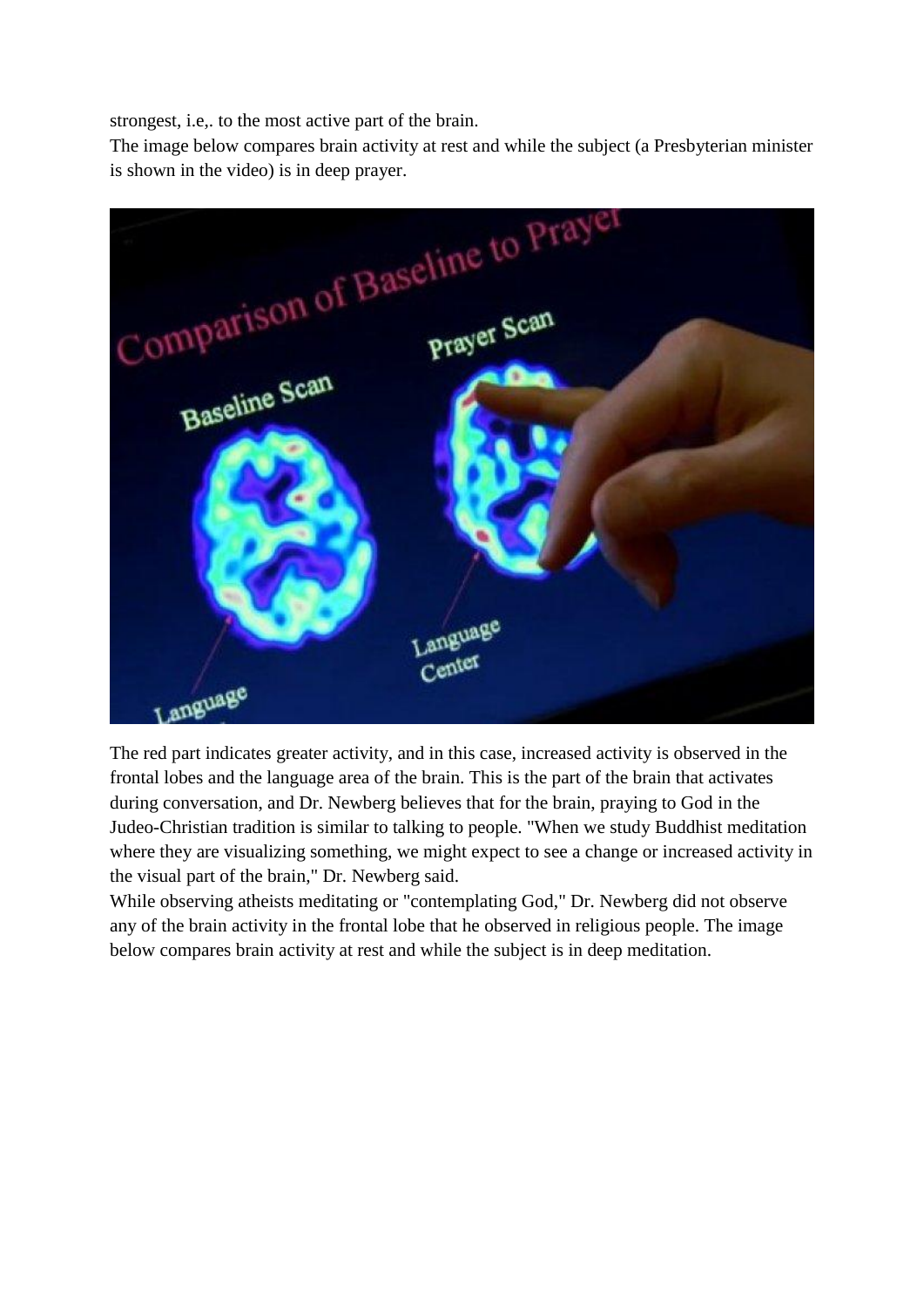strongest, i.e,. to the most active part of the brain.

The image below compares brain activity at rest and while the subject (a Presbyterian minister



The red part indicates greater activity, and in this case, increased activity is observed in the frontal lobes and the language area of the brain. This is the part of the brain that activates during conversation, and Dr. Newberg believes that for the brain, praying to God in the Judeo-Christian tradition is similar to talking to people. "When we study Buddhist meditation where they are visualizing something, we might expect to see a change or increased activity in the visual part of the brain," Dr. Newberg said.

While observing atheists meditating or "contemplating God," Dr. Newberg did not observe any of the brain activity in the frontal lobe that he observed in religious people. The image below compares brain activity at rest and while the subject is in deep meditation.